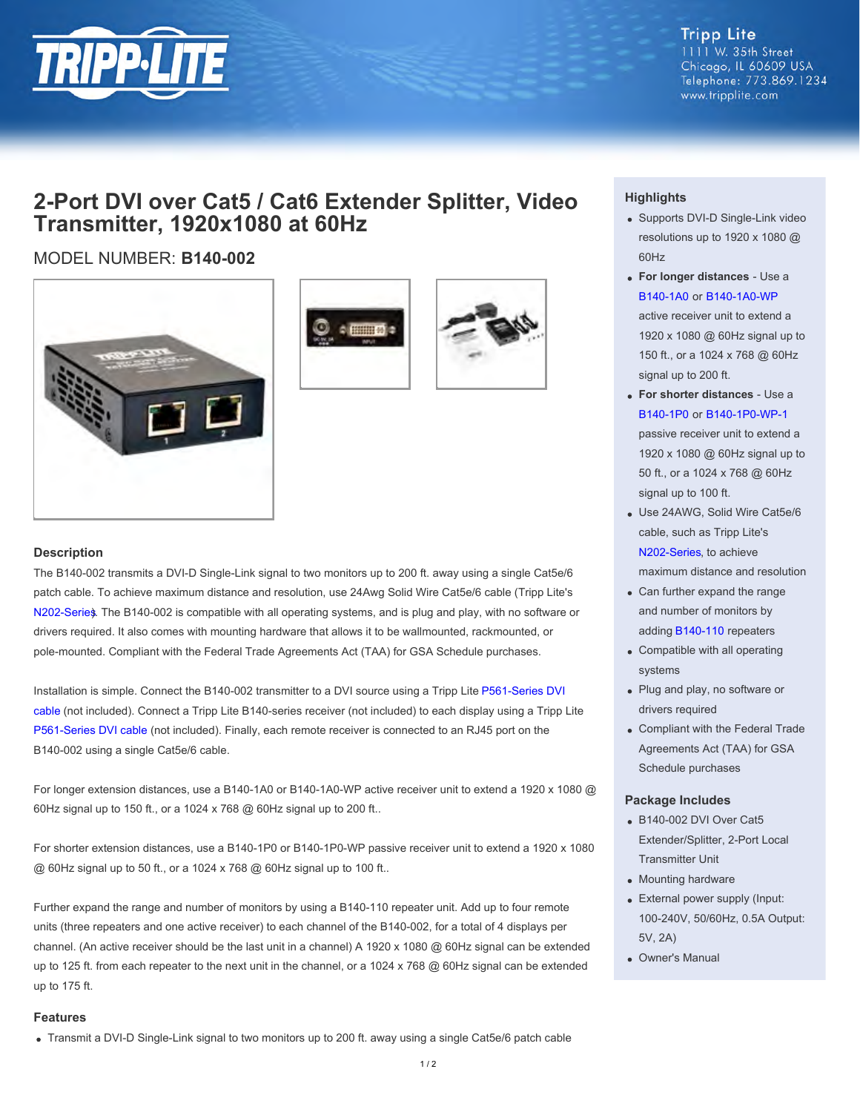

**Tripp Lite** 1111 W. 35th Street Chicago, IL 60609 USA Telephone: 773.869.1234 www.tripplite.com

## **2-Port DVI over Cat5 / Cat6 Extender Splitter, Video Transmitter, 1920x1080 at 60Hz**

### MODEL NUMBER: **B140-002**







#### **Description**

The B140-002 transmits a DVI-D Single-Link signal to two monitors up to 200 ft. away using a single Cat5e/6 patch cable. To achieve maximum distance and resolution, use 24Awg Solid Wire Cat5e/6 cable (Tripp Lite's [N202-Series](http://www.tripplite.com/main/search/type/any/q/n202). The B140-002 is compatible with all operating systems, and is plug and play, with no software or drivers required. It also comes with mounting hardware that allows it to be wallmounted, rackmounted, or pole-mounted. Compliant with the Federal Trade Agreements Act (TAA) for GSA Schedule purchases.

Installation is simple. Connect the B140-002 transmitter to a DVI source using a Tripp Lite [P561-Series DVI](http://www.tripplite.com/main/search/type/any/q/p561) [cable](http://www.tripplite.com/main/search/type/any/q/p561) (not included). Connect a Tripp Lite B140-series receiver (not included) to each display using a Tripp Lite [P561-Series DVI cable](http://www.tripplite.com/main/search/type/any/q/p561) (not included). Finally, each remote receiver is connected to an RJ45 port on the B140-002 using a single Cat5e/6 cable.

For longer extension distances, use a B140-1A0 or B140-1A0-WP active receiver unit to extend a 1920 x 1080 @ 60Hz signal up to 150 ft., or a 1024 x 768 @ 60Hz signal up to 200 ft..

For shorter extension distances, use a B140-1P0 or B140-1P0-WP passive receiver unit to extend a 1920 x 1080 @ 60Hz signal up to 50 ft., or a 1024 x 768 @ 60Hz signal up to 100 ft..

Further expand the range and number of monitors by using a B140-110 repeater unit. Add up to four remote units (three repeaters and one active receiver) to each channel of the B140-002, for a total of 4 displays per channel. (An active receiver should be the last unit in a channel) A 1920 x 1080 @ 60Hz signal can be extended up to 125 ft. from each repeater to the next unit in the channel, or a 1024 x 768 @ 60Hz signal can be extended up to 175 ft.

#### **Features**

Transmit a DVI-D Single-Link signal to two monitors up to 200 ft. away using a single Cat5e/6 patch cable

#### **Highlights**

- Supports DVI-D Single-Link video resolutions up to 1920 x 1080 @ 60Hz
- **For longer distances** Use a [B140-1A0](http://www.tripplite.com/sku/b1401a0/) or [B140-1A0-WP](http://www.tripplite.com/sku/b1401a0wp/) active receiver unit to extend a 1920 x 1080 @ 60Hz signal up to 150 ft., or a 1024 x 768 @ 60Hz signal up to 200 ft.
- **For shorter distances** Use a [B140-1P0](http://www.tripplite.com/sku/b1401p0/) or [B140-1P0-WP-1](http://www.tripplite.com/dvi-over-cat5-cat6-extender-wall-plate-video-receiver-1920x1080-60hz~b1401p0wp1/) passive receiver unit to extend a 1920 x 1080 @ 60Hz signal up to 50 ft., or a 1024 x 768 @ 60Hz signal up to 100 ft.
- Use 24AWG, Solid Wire Cat5e/6 cable, such as Tripp Lite's [N202-Series](http://www.tripplite.com/main/search/type/any/q/n202), to achieve maximum distance and resolution
- Can further expand the range and number of monitors by adding [B140-110](http://www.tripplite.com/sku/b140110/) repeaters
- Compatible with all operating systems
- Plug and play, no software or drivers required
- Compliant with the Federal Trade Agreements Act (TAA) for GSA Schedule purchases

#### **Package Includes**

- B140-002 DVI Over Cat5 Extender/Splitter, 2-Port Local Transmitter Unit
- Mounting hardware
- External power supply (Input: 100-240V, 50/60Hz, 0.5A Output: 5V, 2A)
- Owner's Manual